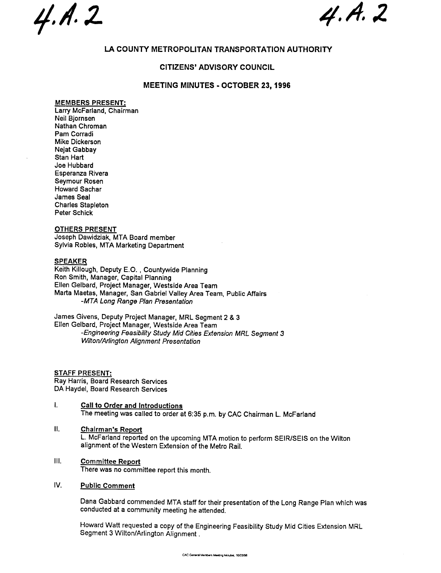$4. A. 2 4. A. 2$ 

# LA COUNTY METROPOLITAN TRANSPORTATION AUTHORITY

## CITIZENS' ADVISORY COUNCIL

# MEETING MINUTES - OCTOBER 23 1996

## MEMBERS PRESENT:

Larry McFarland, Chairman Neil Bjornsen Nathan Chroman Pam Corradi Mike Dickerson Nejat Gabbay Stan Hart Joe Hubbard Esperanza Rivera Seymour Rosen Howard Sachar James Seal Charles Stapleton Peter Schick

## OTHERS PRESENT

Joseph Dawidziak, MTA Board member Sylvia Robles, MTA Marketing Department

## **SPEAKER**

Keith Killough, Deputy E.O., Countywide Planning Ron Smith, Manager, Capital Planning Ellen Gelbard, Project Manager, Westside Area Team Marta Maetas, Manager, San Gabriel Valley Area Team, Public Affairs MTA Long Range Plan Presentation

James Givens, Deputy Project Manager, MRL Segment 2 & 3 Ellen Gelbard, Project Manager, Wests ide Area Team -Engineering Feasibility Study Mid Cities Extension MRL Segment 3 Wilton/Arlington Alignment Presentation

STAFF PRESENT: Ray Harris, Board Research Services DA Haydel, Board Research Services

- $\mathbf{I}$ Call to Order and Introductions The meeting was called to order at 6:35 p. m. by CAC Chairman L. McFarland
- II. Chairman's Report L. McFarland reported on the upcoming MTA motion to perform SEIR/SEIS on the Wilton alignment of the Western Extension of the Metro Rail.
- III. Committee Report There was no committee report this month.
- IV. Public Comment

Dana Gabbard commended MTA staff for their presentation of the Long Range Plan which was conducted at a community meeting he attended.

Howard Watt requested a copy of the Engineering Feasibility Study Mid Cities Extension MRL Segment 3 Wilton/Arlington Alignment.